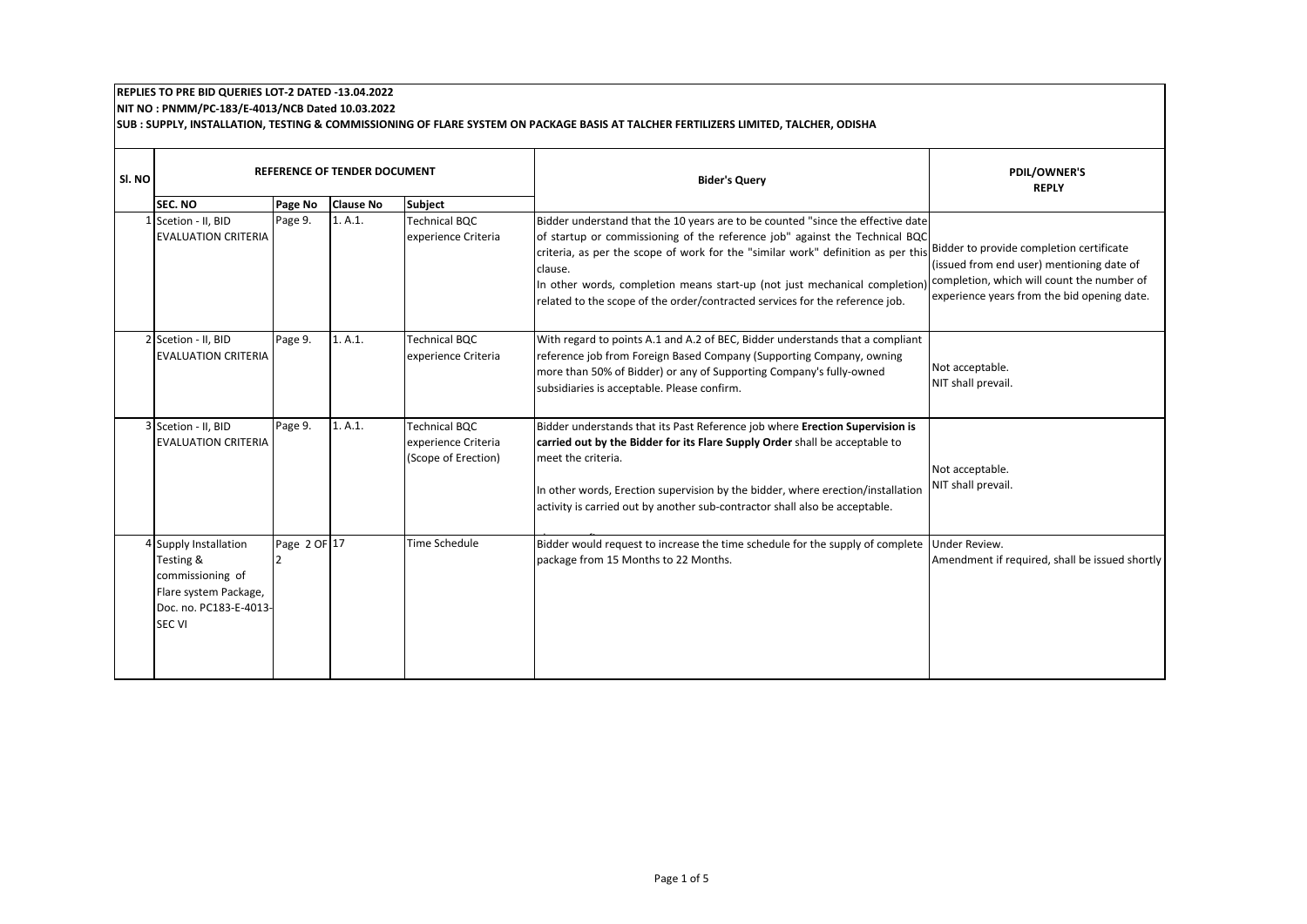## **REPLIES TO PRE BID QUERIES LOT‐2 DATED ‐13.04.2022 NIT NO : PNMM/PC‐183/E‐4013/NCB Dated 10.03.2022**

**SUB : SUPPLY, INSTALLATION, TESTING & COMMISSIONING OF FLARE SYSTEM ON PACKAGE BASIS AT TALCHER FERTILIZERS LIMITED, TALCHER, ODISHA** 

| SI. NO | <b>SEC. NO</b>                                                                                                             | Page No                        | REFERENCE OF TENDER DOCUMENT<br><b>Clause No</b> | <b>Subject</b>                                                     | <b>Bider's Query</b>                                                                                                                                                                                                                                                                                                                                                                                                                                                 | <b>PDIL/OWNER'S</b><br><b>REPLY</b>                                                                                                    |
|--------|----------------------------------------------------------------------------------------------------------------------------|--------------------------------|--------------------------------------------------|--------------------------------------------------------------------|----------------------------------------------------------------------------------------------------------------------------------------------------------------------------------------------------------------------------------------------------------------------------------------------------------------------------------------------------------------------------------------------------------------------------------------------------------------------|----------------------------------------------------------------------------------------------------------------------------------------|
|        | 1 Scetion - II, BID<br><b>EVALUATION CRITERIA</b>                                                                          | Page 9.                        | 1. A.1.                                          | <b>Technical BQC</b><br>experience Criteria                        | Bidder understand that the 10 years are to be counted "since the effective date<br>of startup or commissioning of the reference job" against the Technical BQC<br>criteria, as per the scope of work for the "similar work" definition as per this Bidder to provide completion certificate<br>clause.<br>In other words, completion means start-up (not just mechanical completion)<br>related to the scope of the order/contracted services for the reference job. | (issued from end user) mentioning date of<br>completion, which will count the number of<br>experience years from the bid opening date. |
|        | 2 Scetion - II, BID<br><b>EVALUATION CRITERIA</b>                                                                          | Page 9.                        | 1. A.1.                                          | <b>Technical BQC</b><br>experience Criteria                        | With regard to points A.1 and A.2 of BEC, Bidder understands that a compliant<br>reference job from Foreign Based Company (Supporting Company, owning<br>more than 50% of Bidder) or any of Supporting Company's fully-owned<br>subsidiaries is acceptable. Please confirm.                                                                                                                                                                                          | Not acceptable.<br>NIT shall prevail.                                                                                                  |
|        | 3 Scetion - II, BID<br><b>EVALUATION CRITERIA</b>                                                                          | Page 9.                        | 1. A.1.                                          | <b>Technical BQC</b><br>experience Criteria<br>(Scope of Erection) | Bidder understands that its Past Reference job where Erection Supervision is<br>carried out by the Bidder for its Flare Supply Order shall be acceptable to<br>meet the criteria.<br>In other words, Erection supervision by the bidder, where erection/installation<br>activity is carried out by another sub-contractor shall also be acceptable.                                                                                                                  | Not acceptable.<br>NIT shall prevail.                                                                                                  |
|        | 4 Supply Installation<br>Testing &<br>commissioning of<br>Flare system Package,<br>Doc. no. PC183-E-4013-<br><b>SEC VI</b> | Page 2 OF 17<br>$\overline{2}$ |                                                  | <b>Time Schedule</b>                                               | Bidder would request to increase the time schedule for the supply of complete<br>package from 15 Months to 22 Months.                                                                                                                                                                                                                                                                                                                                                | Under Review.<br>Amendment if required, shall be issued shortly                                                                        |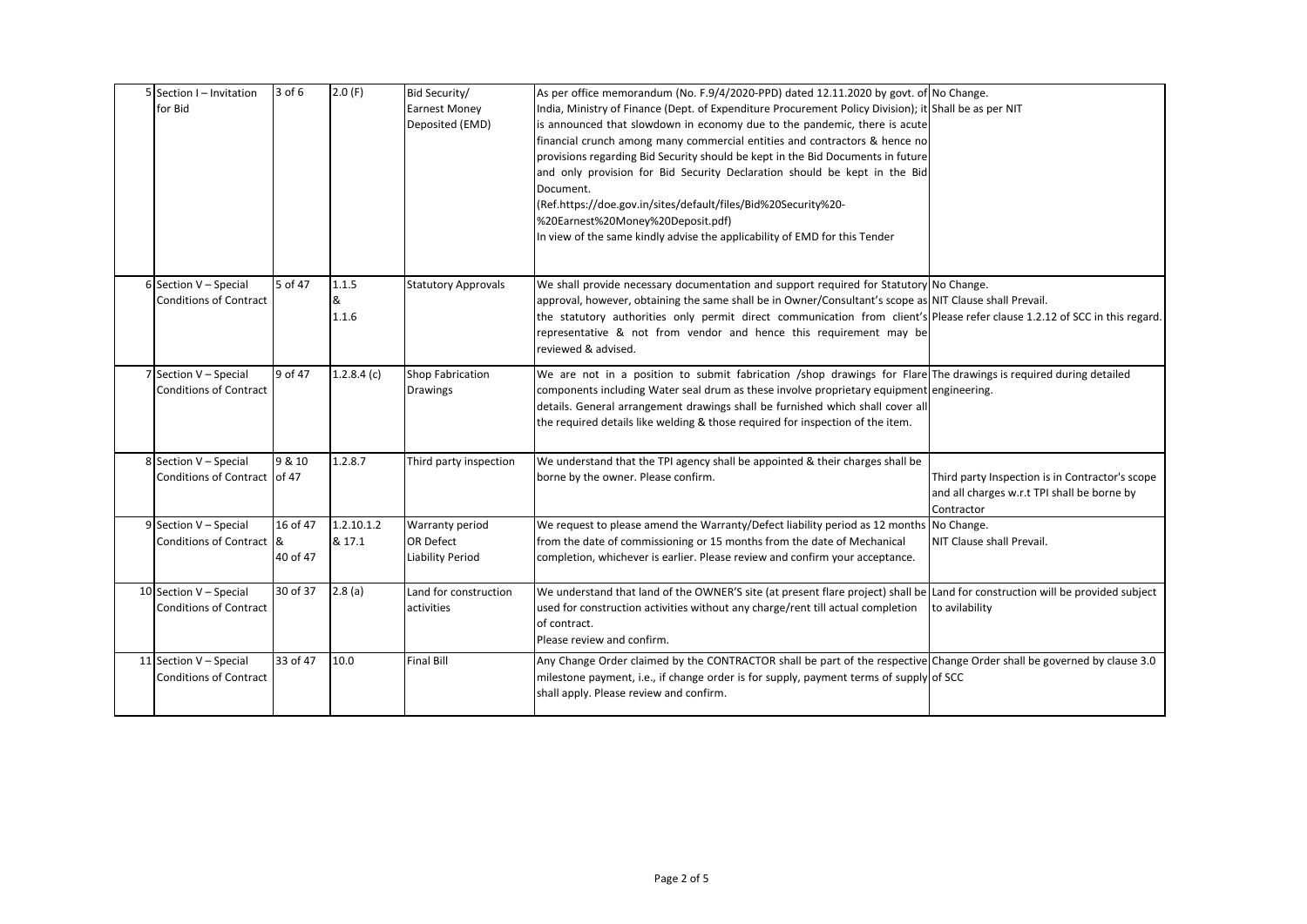| 5 Section I - Invitation<br>for Bid                     | $3$ of $6$           | 2.0(F)               | Bid Security/<br><b>Earnest Money</b><br>Deposited (EMD)       | As per office memorandum (No. F.9/4/2020-PPD) dated 12.11.2020 by govt. of No Change.<br>India, Ministry of Finance (Dept. of Expenditure Procurement Policy Division); it Shall be as per NIT<br>is announced that slowdown in economy due to the pandemic, there is acute<br>financial crunch among many commercial entities and contractors & hence no<br>provisions regarding Bid Security should be kept in the Bid Documents in future<br>and only provision for Bid Security Declaration should be kept in the Bid |                                                                                                              |
|---------------------------------------------------------|----------------------|----------------------|----------------------------------------------------------------|---------------------------------------------------------------------------------------------------------------------------------------------------------------------------------------------------------------------------------------------------------------------------------------------------------------------------------------------------------------------------------------------------------------------------------------------------------------------------------------------------------------------------|--------------------------------------------------------------------------------------------------------------|
|                                                         |                      |                      |                                                                | Document.<br>(Ref.https://doe.gov.in/sites/default/files/Bid%20Security%20-<br>%20Earnest%20Money%20Deposit.pdf)<br>In view of the same kindly advise the applicability of EMD for this Tender                                                                                                                                                                                                                                                                                                                            |                                                                                                              |
| 6 Section V - Special<br><b>Conditions of Contract</b>  | 5 of 47              | 1.1.5<br>&<br>1.1.6  | <b>Statutory Approvals</b>                                     | We shall provide necessary documentation and support required for Statutory No Change.<br>approval, however, obtaining the same shall be in Owner/Consultant's scope as NIT Clause shall Prevail.<br>the statutory authorities only permit direct communication from client's Please refer clause 1.2.12 of SCC in this regard.<br>representative & not from vendor and hence this requirement may be<br>reviewed & advised.                                                                                              |                                                                                                              |
| 7 Section V - Special<br><b>Conditions of Contract</b>  | 9 of 47              | 1.2.8.4(c)           | Shop Fabrication<br><b>Drawings</b>                            | We are not in a position to submit fabrication /shop drawings for Flare The drawings is required during detailed<br>components including Water seal drum as these involve proprietary equipment engineering.<br>details. General arrangement drawings shall be furnished which shall cover all<br>the required details like welding & those required for inspection of the item.                                                                                                                                          |                                                                                                              |
| 8 Section V - Special<br>Conditions of Contract of 47   | 9 & 10               | 1.2.8.7              | Third party inspection                                         | We understand that the TPI agency shall be appointed & their charges shall be<br>borne by the owner. Please confirm.                                                                                                                                                                                                                                                                                                                                                                                                      | Third party Inspection is in Contractor's scope<br>and all charges w.r.t TPI shall be borne by<br>Contractor |
| 9 Section V - Special<br>Conditions of Contract &       | 16 of 47<br>40 of 47 | 1.2.10.1.2<br>& 17.1 | Warranty period<br><b>OR Defect</b><br><b>Liability Period</b> | We request to please amend the Warranty/Defect liability period as 12 months No Change.<br>from the date of commissioning or 15 months from the date of Mechanical<br>completion, whichever is earlier. Please review and confirm your acceptance.                                                                                                                                                                                                                                                                        | NIT Clause shall Prevail.                                                                                    |
| 10 Section V - Special<br><b>Conditions of Contract</b> | 30 of 37             | 2.8(a)               | Land for construction<br>activities                            | We understand that land of the OWNER'S site (at present flare project) shall be Land for construction will be provided subject<br>used for construction activities without any charge/rent till actual completion<br>of contract.<br>Please review and confirm.                                                                                                                                                                                                                                                           | to avilability                                                                                               |
| 11 Section V - Special<br><b>Conditions of Contract</b> | 33 of 47             | 10.0                 | <b>Final Bill</b>                                              | Any Change Order claimed by the CONTRACTOR shall be part of the respective Change Order shall be governed by clause 3.0<br>milestone payment, i.e., if change order is for supply, payment terms of supply of SCC<br>shall apply. Please review and confirm.                                                                                                                                                                                                                                                              |                                                                                                              |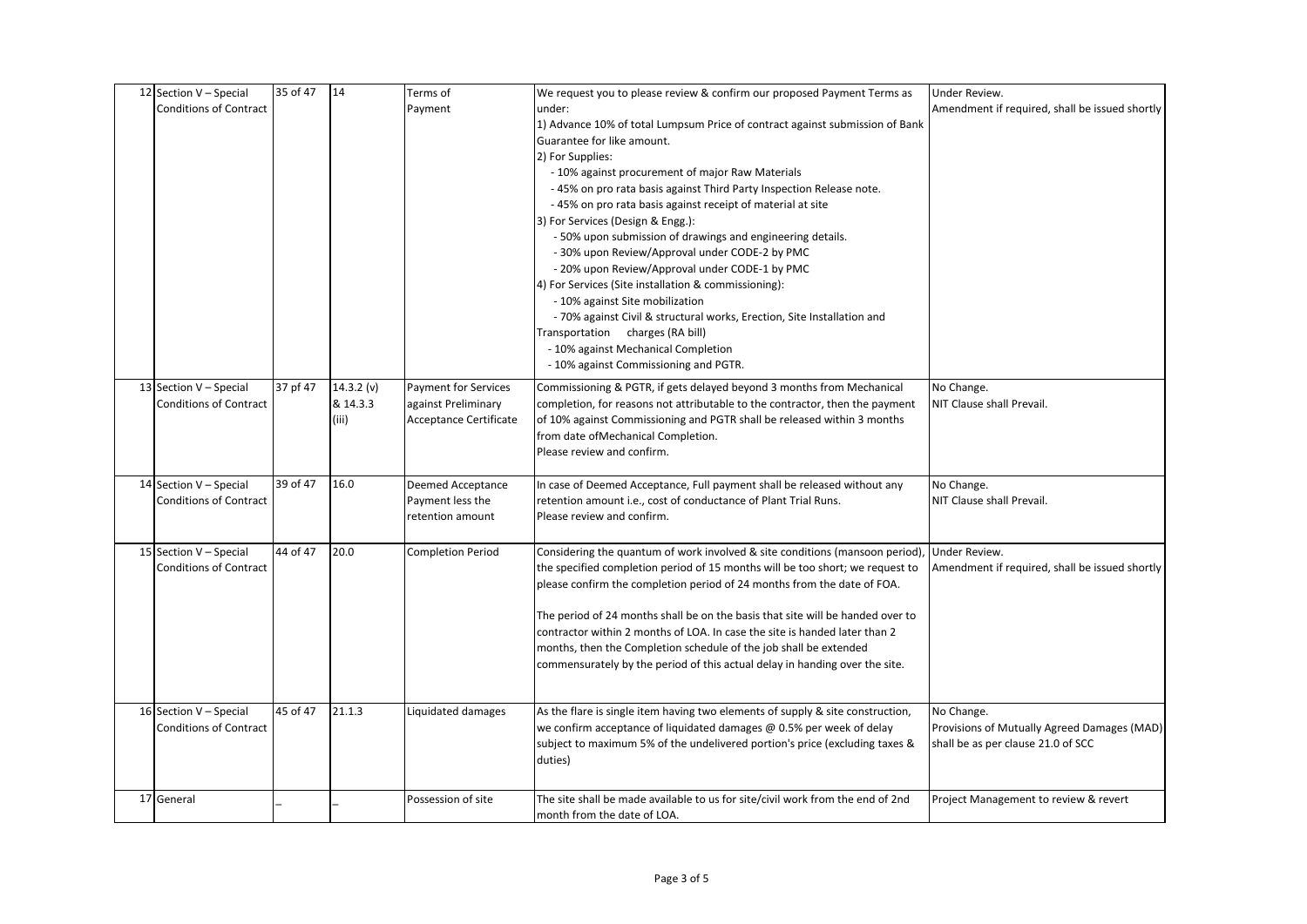| 12 Section V - Special        | 35 of 47 | 14         | Terms of                                           | We request you to please review & confirm our proposed Payment Terms as                                                                               | Under Review.                                  |
|-------------------------------|----------|------------|----------------------------------------------------|-------------------------------------------------------------------------------------------------------------------------------------------------------|------------------------------------------------|
| <b>Conditions of Contract</b> |          |            | Payment                                            | under:                                                                                                                                                | Amendment if required, shall be issued shortly |
|                               |          |            |                                                    | 1) Advance 10% of total Lumpsum Price of contract against submission of Bank                                                                          |                                                |
|                               |          |            |                                                    | Guarantee for like amount.                                                                                                                            |                                                |
|                               |          |            |                                                    | 2) For Supplies:                                                                                                                                      |                                                |
|                               |          |            |                                                    | - 10% against procurement of major Raw Materials                                                                                                      |                                                |
|                               |          |            |                                                    | -45% on pro rata basis against Third Party Inspection Release note.                                                                                   |                                                |
|                               |          |            |                                                    | -45% on pro rata basis against receipt of material at site                                                                                            |                                                |
|                               |          |            |                                                    | 3) For Services (Design & Engg.):                                                                                                                     |                                                |
|                               |          |            |                                                    | - 50% upon submission of drawings and engineering details.                                                                                            |                                                |
|                               |          |            |                                                    | - 30% upon Review/Approval under CODE-2 by PMC                                                                                                        |                                                |
|                               |          |            |                                                    | - 20% upon Review/Approval under CODE-1 by PMC                                                                                                        |                                                |
|                               |          |            |                                                    | 4) For Services (Site installation & commissioning):<br>- 10% against Site mobilization                                                               |                                                |
|                               |          |            |                                                    | - 70% against Civil & structural works, Erection, Site Installation and                                                                               |                                                |
|                               |          |            |                                                    | Transportation charges (RA bill)                                                                                                                      |                                                |
|                               |          |            |                                                    | - 10% against Mechanical Completion                                                                                                                   |                                                |
|                               |          |            |                                                    | - 10% against Commissioning and PGTR.                                                                                                                 |                                                |
| 13 Section V - Special        | 37 pf 47 | 14.3.2 (v) |                                                    |                                                                                                                                                       | No Change.                                     |
| <b>Conditions of Contract</b> |          | & 14.3.3   | <b>Payment for Services</b><br>against Preliminary | Commissioning & PGTR, if gets delayed beyond 3 months from Mechanical<br>completion, for reasons not attributable to the contractor, then the payment | NIT Clause shall Prevail.                      |
|                               |          | (iii)      | Acceptance Certificate                             | of 10% against Commissioning and PGTR shall be released within 3 months                                                                               |                                                |
|                               |          |            |                                                    | from date ofMechanical Completion.                                                                                                                    |                                                |
|                               |          |            |                                                    | Please review and confirm.                                                                                                                            |                                                |
|                               |          |            |                                                    |                                                                                                                                                       |                                                |
| 14 Section V - Special        | 39 of 47 | 16.0       | Deemed Acceptance                                  | In case of Deemed Acceptance, Full payment shall be released without any                                                                              | No Change.                                     |
| <b>Conditions of Contract</b> |          |            | Payment less the                                   | retention amount i.e., cost of conductance of Plant Trial Runs.                                                                                       | NIT Clause shall Prevail.                      |
|                               |          |            | retention amount                                   | Please review and confirm.                                                                                                                            |                                                |
|                               |          |            |                                                    |                                                                                                                                                       |                                                |
| 15 Section V - Special        | 44 of 47 | 20.0       | <b>Completion Period</b>                           | Considering the quantum of work involved & site conditions (mansoon period)                                                                           | Under Review.                                  |
| <b>Conditions of Contract</b> |          |            |                                                    | the specified completion period of 15 months will be too short; we request to                                                                         | Amendment if required, shall be issued shortly |
|                               |          |            |                                                    | please confirm the completion period of 24 months from the date of FOA.                                                                               |                                                |
|                               |          |            |                                                    |                                                                                                                                                       |                                                |
|                               |          |            |                                                    | The period of 24 months shall be on the basis that site will be handed over to                                                                        |                                                |
|                               |          |            |                                                    | contractor within 2 months of LOA. In case the site is handed later than 2                                                                            |                                                |
|                               |          |            |                                                    | months, then the Completion schedule of the job shall be extended                                                                                     |                                                |
|                               |          |            |                                                    | commensurately by the period of this actual delay in handing over the site.                                                                           |                                                |
|                               |          |            |                                                    |                                                                                                                                                       |                                                |
| 16 Section V - Special        | 45 of 47 | 21.1.3     | Liquidated damages                                 | As the flare is single item having two elements of supply & site construction,                                                                        | No Change.                                     |
| <b>Conditions of Contract</b> |          |            |                                                    | we confirm acceptance of liquidated damages @ 0.5% per week of delay                                                                                  | Provisions of Mutually Agreed Damages (MAD)    |
|                               |          |            |                                                    | subject to maximum 5% of the undelivered portion's price (excluding taxes &                                                                           | shall be as per clause 21.0 of SCC             |
|                               |          |            |                                                    | duties)                                                                                                                                               |                                                |
|                               |          |            |                                                    |                                                                                                                                                       |                                                |
| 17 General                    |          |            | Possession of site                                 | The site shall be made available to us for site/civil work from the end of 2nd                                                                        | Project Management to review & revert          |
|                               |          |            |                                                    | month from the date of LOA.                                                                                                                           |                                                |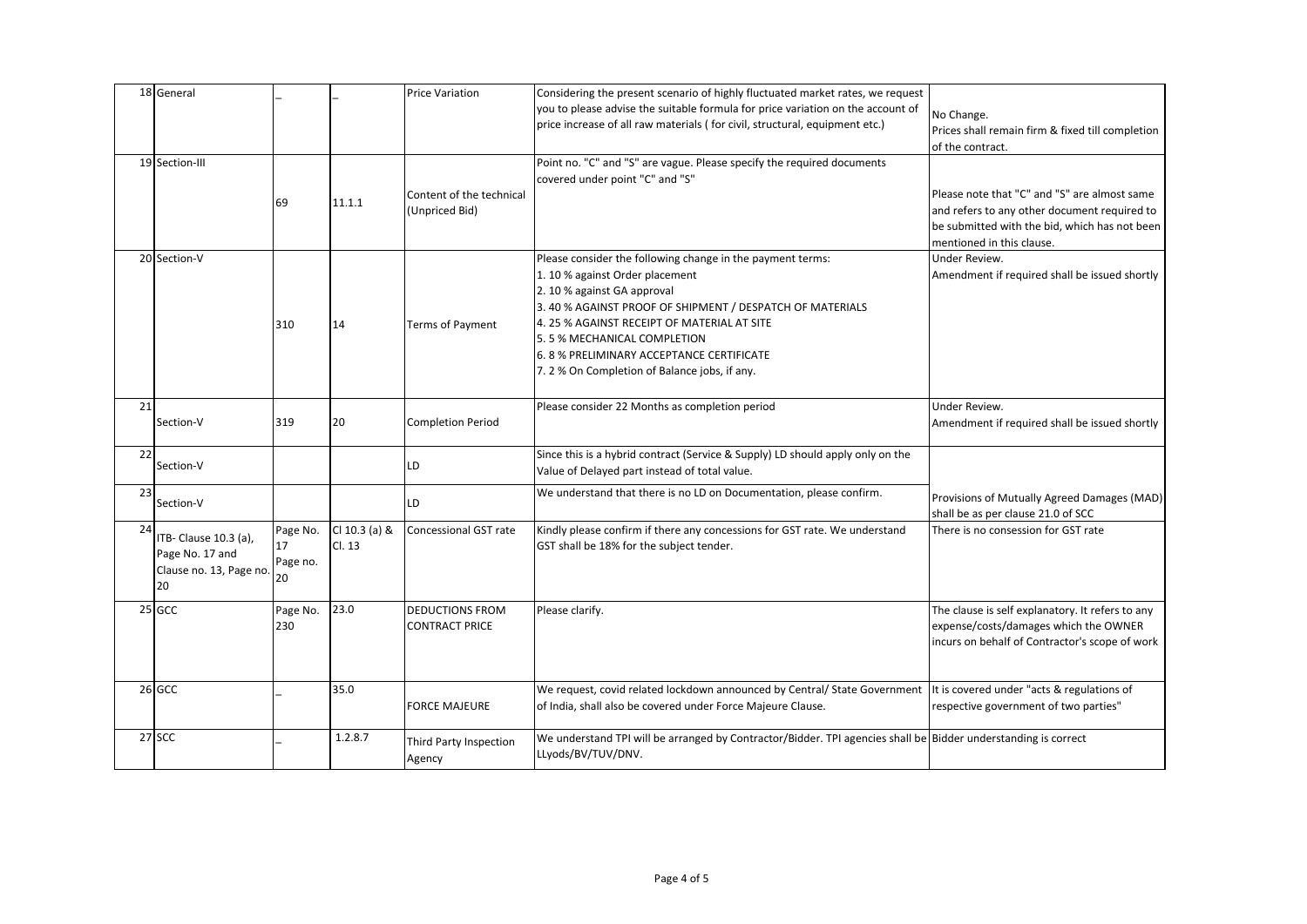|    | 18 General              |          |               | <b>Price Variation</b>   | Considering the present scenario of highly fluctuated market rates, we request                                 |                                                  |
|----|-------------------------|----------|---------------|--------------------------|----------------------------------------------------------------------------------------------------------------|--------------------------------------------------|
|    |                         |          |               |                          | you to please advise the suitable formula for price variation on the account of                                | No Change.                                       |
|    |                         |          |               |                          | price increase of all raw materials (for civil, structural, equipment etc.)                                    | Prices shall remain firm & fixed till completion |
|    |                         |          |               |                          |                                                                                                                | of the contract.                                 |
|    | 19 Section-III          |          |               |                          | Point no. "C" and "S" are vague. Please specify the required documents                                         |                                                  |
|    |                         |          |               |                          | covered under point "C" and "S"                                                                                |                                                  |
|    |                         |          |               | Content of the technical |                                                                                                                | Please note that "C" and "S" are almost same     |
|    |                         | 69       | 11.1.1        | (Unpriced Bid)           |                                                                                                                | and refers to any other document required to     |
|    |                         |          |               |                          |                                                                                                                | be submitted with the bid, which has not been    |
|    |                         |          |               |                          |                                                                                                                | mentioned in this clause.                        |
|    | 20 Section-V            |          |               |                          | Please consider the following change in the payment terms:                                                     | Under Review.                                    |
|    |                         |          |               |                          | 1.10 % against Order placement                                                                                 | Amendment if required shall be issued shortly    |
|    |                         |          |               |                          | 2.10 % against GA approval                                                                                     |                                                  |
|    |                         |          |               |                          | 3. 40 % AGAINST PROOF OF SHIPMENT / DESPATCH OF MATERIALS                                                      |                                                  |
|    |                         | 310      | 14            | Terms of Payment         | 4. 25 % AGAINST RECEIPT OF MATERIAL AT SITE                                                                    |                                                  |
|    |                         |          |               |                          | 5.5 % MECHANICAL COMPLETION                                                                                    |                                                  |
|    |                         |          |               |                          | 6.8 % PRELIMINARY ACCEPTANCE CERTIFICATE                                                                       |                                                  |
|    |                         |          |               |                          | 7. 2 % On Completion of Balance jobs, if any.                                                                  |                                                  |
|    |                         |          |               |                          |                                                                                                                |                                                  |
| 21 |                         |          |               |                          | Please consider 22 Months as completion period                                                                 | Under Review.                                    |
|    | Section-V               | 319      | 20            | <b>Completion Period</b> |                                                                                                                | Amendment if required shall be issued shortly    |
|    |                         |          |               |                          |                                                                                                                |                                                  |
| 22 | Section-V               |          |               | LD                       | Since this is a hybrid contract (Service & Supply) LD should apply only on the                                 |                                                  |
|    |                         |          |               |                          | Value of Delayed part instead of total value.                                                                  |                                                  |
| 23 |                         |          |               |                          | We understand that there is no LD on Documentation, please confirm.                                            | Provisions of Mutually Agreed Damages (MAD)      |
|    | Section-V               |          |               | LD                       |                                                                                                                | shall be as per clause 21.0 of SCC               |
| 24 |                         | Page No. | Cl 10.3 (a) & | Concessional GST rate    | Kindly please confirm if there any concessions for GST rate. We understand                                     | There is no consession for GST rate              |
|    | ITB- Clause 10.3 (a),   | 17       | Cl. 13        |                          | GST shall be 18% for the subject tender.                                                                       |                                                  |
|    | Page No. 17 and         | Page no. |               |                          |                                                                                                                |                                                  |
|    | Clause no. 13, Page no. | 20       |               |                          |                                                                                                                |                                                  |
|    | 20                      |          |               |                          |                                                                                                                |                                                  |
|    | 25 GCC                  | Page No. | 23.0          | <b>DEDUCTIONS FROM</b>   | Please clarify.                                                                                                | The clause is self explanatory. It refers to any |
|    |                         | 230      |               | <b>CONTRACT PRICE</b>    |                                                                                                                | expense/costs/damages which the OWNER            |
|    |                         |          |               |                          |                                                                                                                | incurs on behalf of Contractor's scope of work   |
|    |                         |          |               |                          |                                                                                                                |                                                  |
|    |                         |          |               |                          |                                                                                                                |                                                  |
|    | 26 GCC                  |          | 35.0          |                          | We request, covid related lockdown announced by Central/ State Government                                      | It is covered under "acts & regulations of       |
|    |                         |          |               | <b>FORCE MAJEURE</b>     | of India, shall also be covered under Force Majeure Clause.                                                    | respective government of two parties"            |
|    | 27 SCC                  |          | 1.2.8.7       |                          | We understand TPI will be arranged by Contractor/Bidder. TPI agencies shall be Bidder understanding is correct |                                                  |
|    |                         |          |               | Third Party Inspection   | LLyods/BV/TUV/DNV.                                                                                             |                                                  |
|    |                         |          |               | Agency                   |                                                                                                                |                                                  |